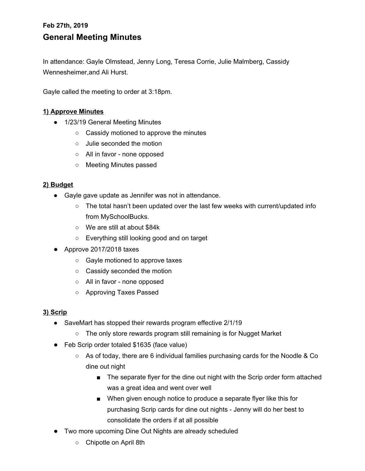# **Feb 27th, 2019 General Meeting Minutes**

In attendance: Gayle Olmstead, Jenny Long, Teresa Corrie, Julie Malmberg, Cassidy Wennesheimer,and Ali Hurst.

Gayle called the meeting to order at 3:18pm.

#### **1) Approve Minutes**

- 1/23/19 General Meeting Minutes
	- Cassidy motioned to approve the minutes
	- Julie seconded the motion
	- All in favor none opposed
	- Meeting Minutes passed

#### **2) Budget**

- Gayle gave update as Jennifer was not in attendance.
	- The total hasn't been updated over the last few weeks with current/updated info from MySchoolBucks.
	- We are still at about \$84k
	- Everything still looking good and on target
- Approve 2017/2018 taxes
	- Gayle motioned to approve taxes
	- Cassidy seconded the motion
	- All in favor none opposed
	- Approving Taxes Passed

#### **3) Scrip**

- SaveMart has stopped their rewards program effective 2/1/19
	- The only store rewards program still remaining is for Nugget Market
- Feb Scrip order totaled \$1635 (face value)
	- As of today, there are 6 individual families purchasing cards for the Noodle & Co dine out night
		- The separate flyer for the dine out night with the Scrip order form attached was a great idea and went over well
		- When given enough notice to produce a separate flyer like this for purchasing Scrip cards for dine out nights - Jenny will do her best to consolidate the orders if at all possible
- Two more upcoming Dine Out Nights are already scheduled
	- Chipotle on April 8th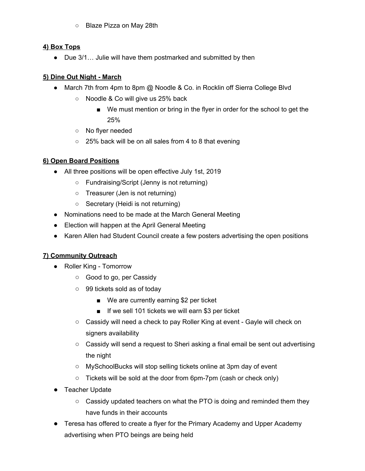○ Blaze Pizza on May 28th

#### **4) Box Tops**

• Due 3/1... Julie will have them postmarked and submitted by then

#### **5) Dine Out Night - March**

- March 7th from 4pm to 8pm @ Noodle & Co. in Rocklin off Sierra College Blvd
	- Noodle & Co will give us 25% back
		- We must mention or bring in the flyer in order for the school to get the 25%
	- No flyer needed
	- 25% back will be on all sales from 4 to 8 that evening

## **6) Open Board Positions**

- All three positions will be open effective July 1st, 2019
	- Fundraising/Script (Jenny is not returning)
	- Treasurer (Jen is not returning)
	- Secretary (Heidi is not returning)
- Nominations need to be made at the March General Meeting
- Election will happen at the April General Meeting
- Karen Allen had Student Council create a few posters advertising the open positions

#### **7) Community Outreach**

- Roller King Tomorrow
	- Good to go, per Cassidy
	- 99 tickets sold as of today
		- We are currently earning \$2 per ticket
		- If we sell 101 tickets we will earn \$3 per ticket
	- Cassidy will need a check to pay Roller King at event Gayle will check on signers availability
	- $\circ$  Cassidy will send a request to Sheri asking a final email be sent out advertising the night
	- MySchoolBucks will stop selling tickets online at 3pm day of event
	- $\circ$  Tickets will be sold at the door from 6pm-7pm (cash or check only)
- Teacher Update
	- $\circ$  Cassidy updated teachers on what the PTO is doing and reminded them they have funds in their accounts
- Teresa has offered to create a flyer for the Primary Academy and Upper Academy advertising when PTO beings are being held